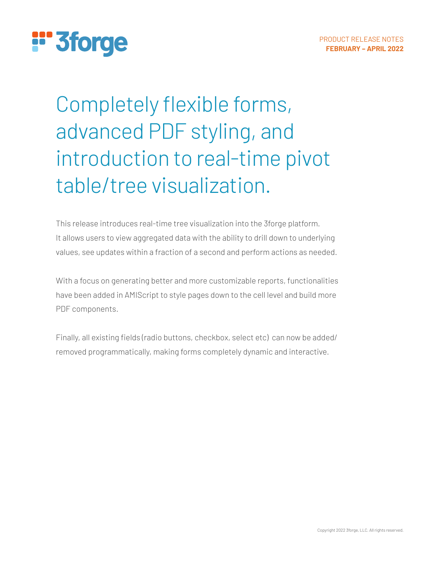# **:"3forge**

## Completely flexible forms, advanced PDF styling, and introduction to real-time pivot table/tree visualization.

This release introduces real-time tree visualization into the 3forge platform. It allows users to view aggregated data with the ability to drill down to underlying values, see updates within a fraction of a second and perform actions as needed.

With a focus on generating better and more customizable reports, functionalities have been added in AMIScript to style pages down to the cell level and build more PDF components.

Finally, all existing fields (radio buttons, checkbox, select etc) can now be added/ removed programmatically, making forms completely dynamic and interactive.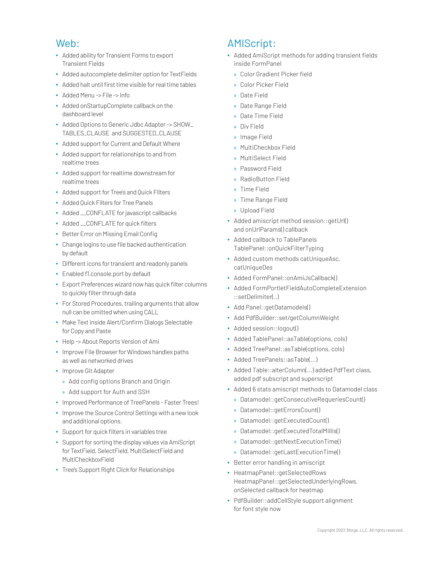#### Web:

- **•** Added ability for Transient Forms to export Transient Fields
- **•** Added autocomplete delimiter option for TextFields
- **•** Added halt until first time visible for real time tables
- **•** Added Menu -> File -> Info
- **•** Added onStartupComplete callback on the dashboard level
- **•** Added Options to Generic Jdbc Adapter -> SHOW\_ TABLES\_CLAUSE and SUGGESTED\_CLAUSE
- **•** Added support for Current and Default Where
- **•** Added support for relationships to and from realtime trees
- **•** Added support for realtime downstream for realtime trees
- **•** Added support for Tree's and Quick FIlters
- **•** Added Quick Filters for Tree Panels
- **•** Added \_\_CONFLATE for javascript callbacks
- **•** Added \_\_CONFLATE for quick filters
- **•** Better Error on Missing Email Config
- **•** Change logins to use file backed authentication by default
- **•** Different icons for transient and readonly panels
- **•** Enabled f1.console.port by default
- **•** Export Preferences wizard now has quick filter columns to quickly filter through data
- **•** For Stored Procedures, trailing arguments that allow null can be omitted when using CALL
- **•** Make Text inside Alert/Confirm Dialogs Selectable for Copy and Paste
- **•** Help -> About Reports Version of Ami
- **•** Improve File Browser for Windows handles paths as well as networked drives
- **•** Improve Git Adapter
	- » Add config options Branch and Origin
	- » Add support for Auth and SSH
- **•** Improved Performance of TreePanels Faster Trees!
- **•** Improve the Source Control Settings with a new look and additional options.
- **•** Support for quick filters in variables tree
- **•** Support for sorting the display values via AmiScript for TextField, SelectField, MultiSelectField and MultiCheckboxField
- **•** Tree's Support Right Click for Relationships

### AMIScript:

- **•** Added AmiScript methods for adding transient fields inside FormPanel
	- » Color Gradient Picker field
	- » Color Picker Field
	- » Date Field
	- » Date Range Field
	- » Date Time Field
	- » Div Field
	- » Image Field
	- » MultiCheckbox Field
	- » MultiSelect Field
	- » Password Field
	- » RadioButton Field
	- » Time Field
	- » Time Range Field
	- » Upload Field
- **•** Added amiscript method session::getUrl() and onUrlParams() callback
- **•** Added callback to TablePanels TablePanel::onQuickFilterTyping
- **•** Added custom methods catUniqueAsc, catUniqueDes
- **•** Added FormPanel::onAmiJsCallback()
- **•** Added FormPortletFieldAutoCompleteExtension ::setDelimiter(..)
- **•** Add Panel::getDatamodels()
- **•** Add PdfBuilder::set/getColumnWeight
- **•** Added session::logout()
- **•** Added TablePanel::asTable(options, cols)
- **•** Added TreePanel::asTable(options, cols)
- **•** Added TreePanels::asTable(...)
- **•** Added Table::alterColumn(...) added PdfText class, added pdf subscript and superscript
- **•** Added 6 stats amiscript methods to Datamodel class
	- » Datamodel::getConsecutiveRequeriesCount()
	- » Datamodel::getErrorsCount()
	- » Datamodel::getExecutedCount()
	- » Datamodel::getExecutedTotalMillis()
	- » Datamodel::getNextExecutionTime()
	- » Datamodel::getLastExecutionTime()
- **•** Better error handling in amiscript
- **•** HeatmapPanel::getSelectedRows HeatmapPanel::getSelectedUnderlyingRows, onSelected callback for heatmap
- **•** PdfBuilder::addCellStyle support alignment for font style now